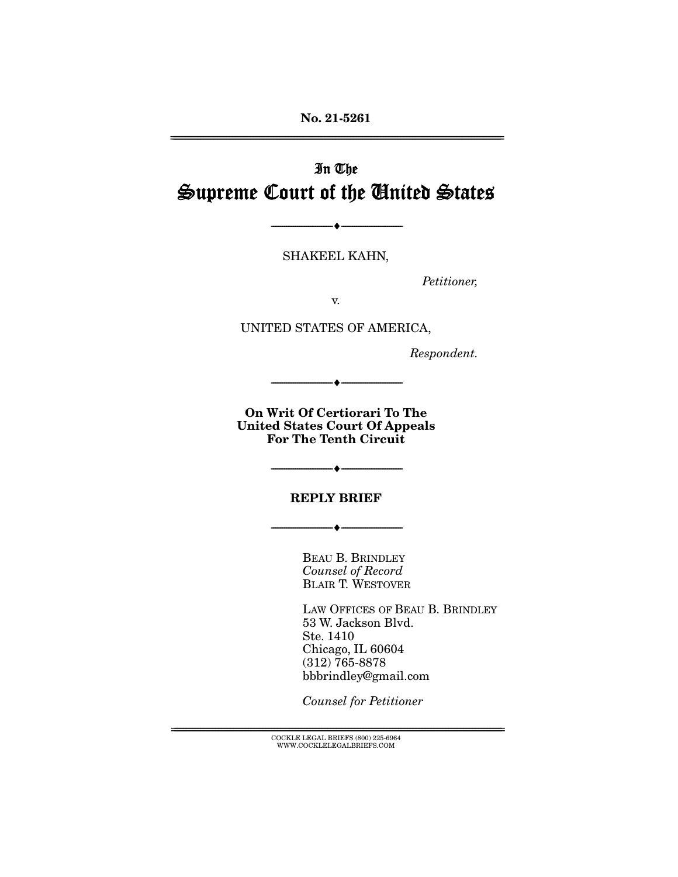**No. 21-5261**  ================================================================================================================

# In The Supreme Court of the United States

SHAKEEL KAHN,

 $\bullet$  -

Petitioner,

v.

UNITED STATES OF AMERICA,

Respondent.

**On Writ Of Certiorari To The United States Court Of Appeals For The Tenth Circuit** 

 $+$   $-$ 

**REPLY BRIEF** 

 $\bullet$   $-$ 

 $-\bullet-\$ 

BEAU B. BRINDLEY Counsel of Record BLAIR T. WESTOVER

LAW OFFICES OF BEAU B. BRINDLEY 53 W. Jackson Blvd. Ste. 1410 Chicago, IL 60604 (312) 765-8878 bbbrindley@gmail.com

Counsel for Petitioner

 ${ \rm COCKLE}$  LEGAL BRIEFS (800) 225-6964 WWW.COCKLELEGALBRIEFS.COM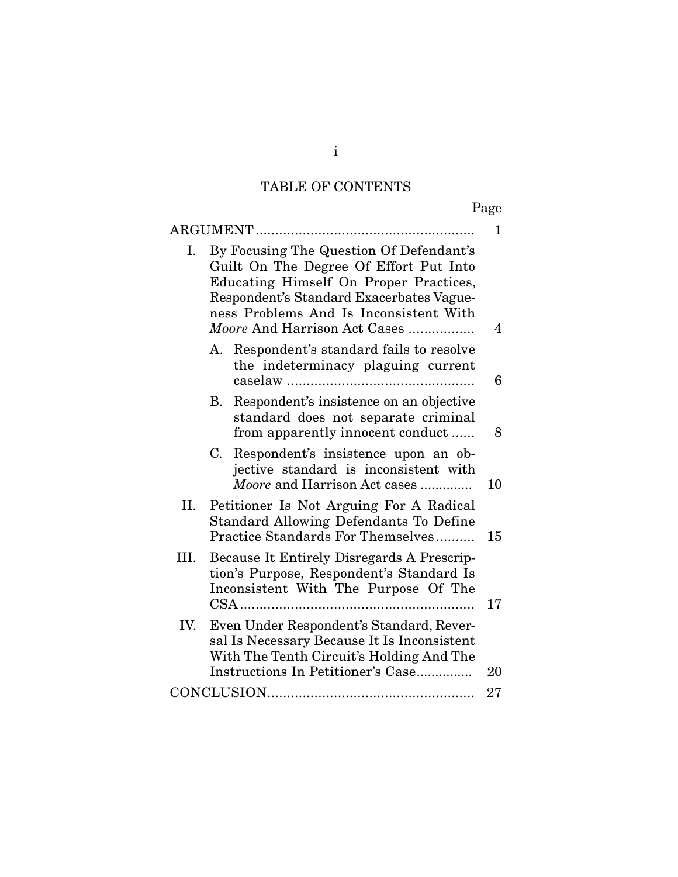## TABLE OF CONTENTS

|      | ARGUMENT                                                                                                                                                                                                                                          | 1  |
|------|---------------------------------------------------------------------------------------------------------------------------------------------------------------------------------------------------------------------------------------------------|----|
| Ι.   | By Focusing The Question Of Defendant's<br>Guilt On The Degree Of Effort Put Into<br>Educating Himself On Proper Practices,<br>Respondent's Standard Exacerbates Vague-<br>ness Problems And Is Inconsistent With<br>Moore And Harrison Act Cases | 4  |
|      | A. Respondent's standard fails to resolve<br>the indeterminacy plaguing current                                                                                                                                                                   | 6  |
|      | Respondent's insistence on an objective<br>В.<br>standard does not separate criminal<br>from apparently innocent conduct                                                                                                                          | 8  |
|      | Respondent's insistence upon an ob-<br>C.<br>jective standard is inconsistent with<br>Moore and Harrison Act cases                                                                                                                                | 10 |
| II.  | Petitioner Is Not Arguing For A Radical<br><b>Standard Allowing Defendants To Define</b><br>Practice Standards For Themselves                                                                                                                     |    |
| III. | Because It Entirely Disregards A Prescrip-<br>tion's Purpose, Respondent's Standard Is<br>Inconsistent With The Purpose Of The                                                                                                                    |    |
| IV.  | Even Under Respondent's Standard, Rever-<br>sal Is Necessary Because It Is Inconsistent<br>With The Tenth Circuit's Holding And The<br>Instructions In Petitioner's Case                                                                          | 20 |
|      |                                                                                                                                                                                                                                                   | 27 |

i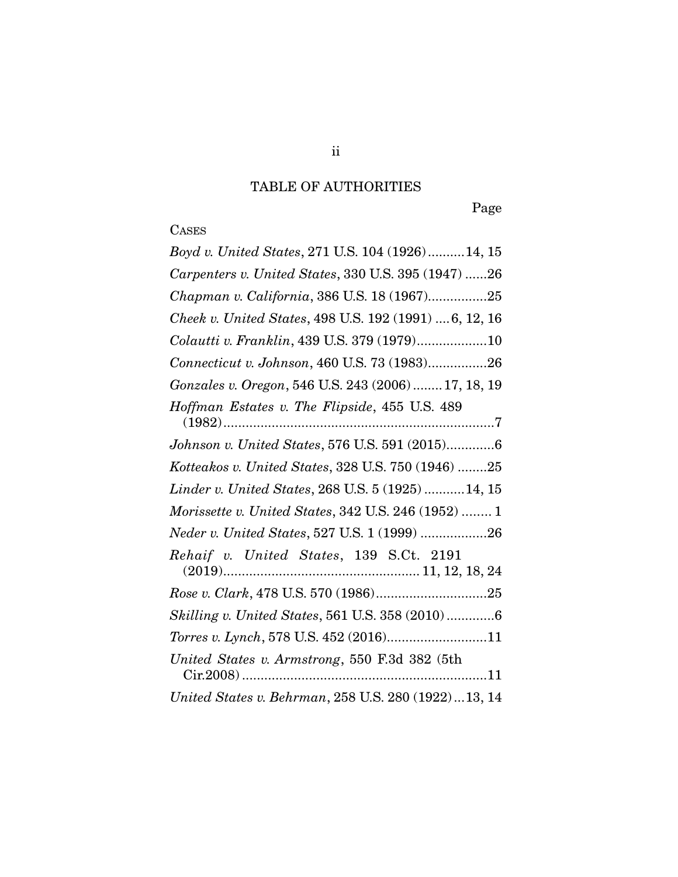## TABLE OF AUTHORITIES

Page

## **CASES**

| Boyd v. United States, 271 U.S. 104 (1926)14, 15       |
|--------------------------------------------------------|
| Carpenters v. United States, 330 U.S. 395 (1947) 26    |
| Chapman v. California, 386 U.S. 18 (1967)25            |
| Cheek v. United States, 498 U.S. 192 (1991)  6, 12, 16 |
| Colautti v. Franklin, 439 U.S. 379 (1979)10            |
| Connecticut v. Johnson, 460 U.S. 73 (1983)26           |
| Gonzales v. Oregon, 546 U.S. 243 (2006) 17, 18, 19     |
| Hoffman Estates v. The Flipside, 455 U.S. 489          |
| Johnson v. United States, 576 U.S. 591 (2015)6         |
| Kotteakos v. United States, 328 U.S. 750 (1946) 25     |
| Linder v. United States, 268 U.S. 5 (1925) 14, 15      |
| Morissette v. United States, 342 U.S. 246 (1952)  1    |
| Neder v. United States, 527 U.S. 1 (1999) 26           |
| Rehaif v. United States, 139 S.Ct. 2191                |
|                                                        |
| Skilling v. United States, 561 U.S. 358 (2010)6        |
| Torres v. Lynch, 578 U.S. 452 (2016)11                 |
| United States v. Armstrong, 550 F.3d 382 (5th          |
| United States v. Behrman, 258 U.S. 280 (1922)13, 14    |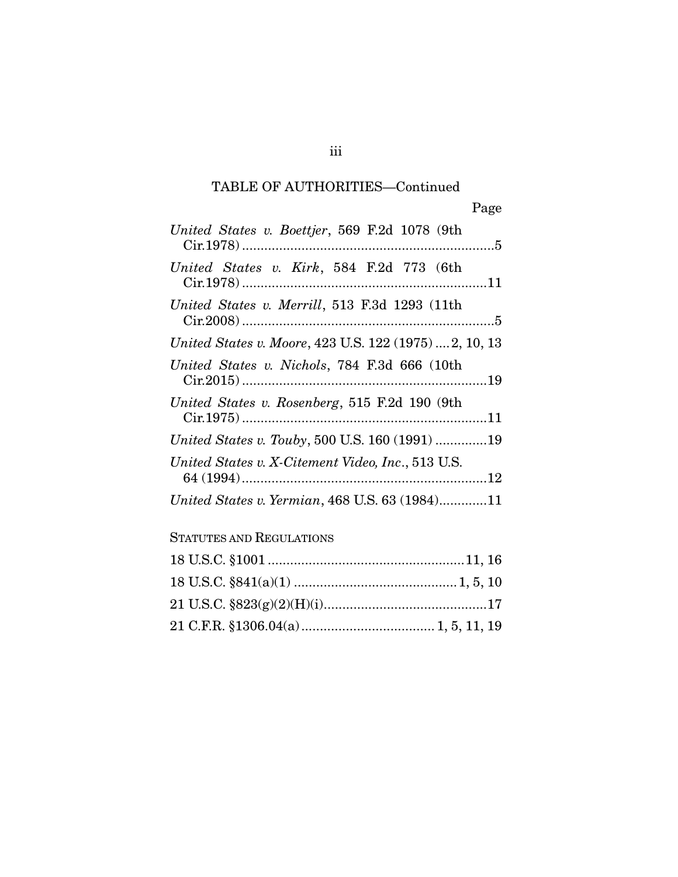## TABLE OF AUTHORITIES—Continued

| United States v. Boettjer, 569 F.2d 1078 (9th          |
|--------------------------------------------------------|
| United States v. Kirk, 584 F.2d 773 (6th               |
| United States v. Merrill, 513 F.3d 1293 (11th          |
| United States v. Moore, 423 U.S. 122 (1975)  2, 10, 13 |
| United States v. Nichols, 784 F.3d 666 (10th           |
| United States v. Rosenberg, 515 F.2d 190 (9th          |
| United States v. Touby, 500 U.S. 160 (1991) 19         |
| United States v. X-Citement Video, Inc., 513 U.S.      |
| United States v. Yermian, 468 U.S. 63 (1984)11         |
| <b>STATUTES AND REGULATIONS</b>                        |
|                                                        |
|                                                        |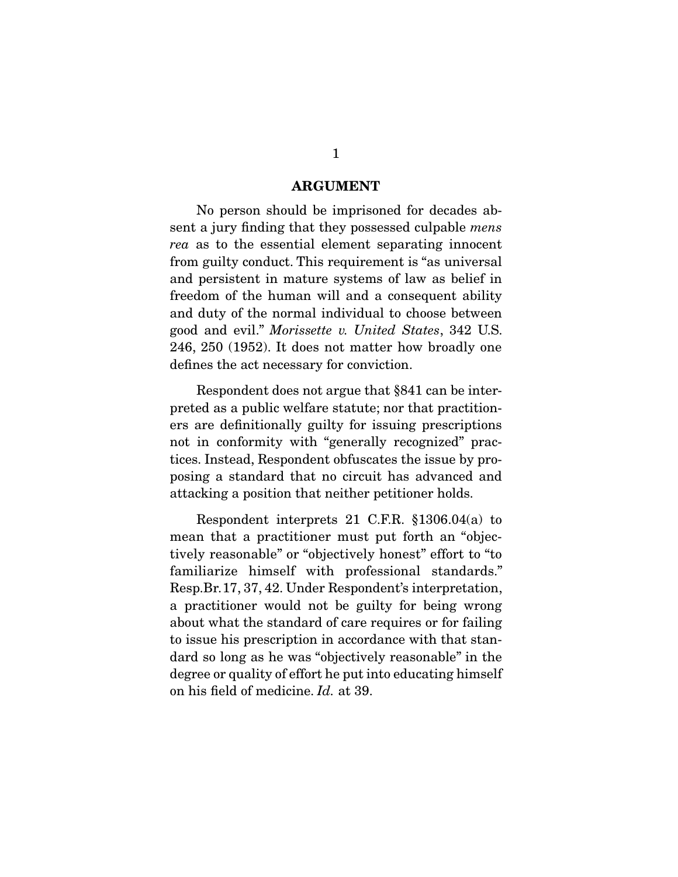#### **ARGUMENT**

 No person should be imprisoned for decades absent a jury finding that they possessed culpable *mens* rea as to the essential element separating innocent from guilty conduct. This requirement is "as universal and persistent in mature systems of law as belief in freedom of the human will and a consequent ability and duty of the normal individual to choose between good and evil." Morissette v. United States, 342 U.S. 246, 250 (1952). It does not matter how broadly one defines the act necessary for conviction.

 Respondent does not argue that §841 can be interpreted as a public welfare statute; nor that practitioners are definitionally guilty for issuing prescriptions not in conformity with "generally recognized" practices. Instead, Respondent obfuscates the issue by proposing a standard that no circuit has advanced and attacking a position that neither petitioner holds.

 Respondent interprets 21 C.F.R. §1306.04(a) to mean that a practitioner must put forth an "objectively reasonable" or "objectively honest" effort to "to familiarize himself with professional standards." Resp.Br.17, 37, 42. Under Respondent's interpretation, a practitioner would not be guilty for being wrong about what the standard of care requires or for failing to issue his prescription in accordance with that standard so long as he was "objectively reasonable" in the degree or quality of effort he put into educating himself on his field of medicine. Id. at 39.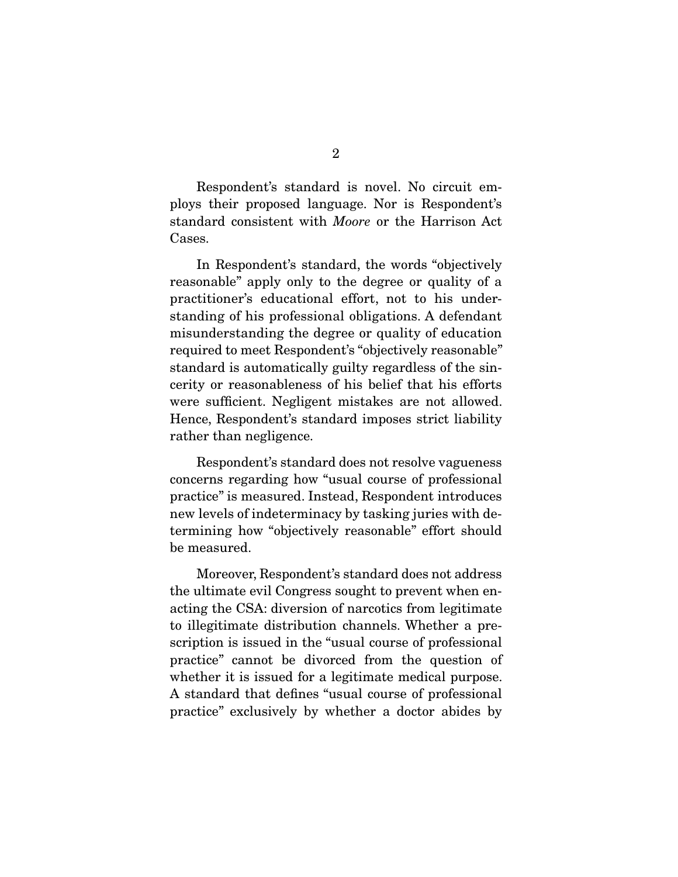Respondent's standard is novel. No circuit employs their proposed language. Nor is Respondent's standard consistent with Moore or the Harrison Act Cases.

 In Respondent's standard, the words "objectively reasonable" apply only to the degree or quality of a practitioner's educational effort, not to his understanding of his professional obligations. A defendant misunderstanding the degree or quality of education required to meet Respondent's "objectively reasonable" standard is automatically guilty regardless of the sincerity or reasonableness of his belief that his efforts were sufficient. Negligent mistakes are not allowed. Hence, Respondent's standard imposes strict liability rather than negligence.

 Respondent's standard does not resolve vagueness concerns regarding how "usual course of professional practice" is measured. Instead, Respondent introduces new levels of indeterminacy by tasking juries with determining how "objectively reasonable" effort should be measured.

 Moreover, Respondent's standard does not address the ultimate evil Congress sought to prevent when enacting the CSA: diversion of narcotics from legitimate to illegitimate distribution channels. Whether a prescription is issued in the "usual course of professional practice" cannot be divorced from the question of whether it is issued for a legitimate medical purpose. A standard that defines "usual course of professional practice" exclusively by whether a doctor abides by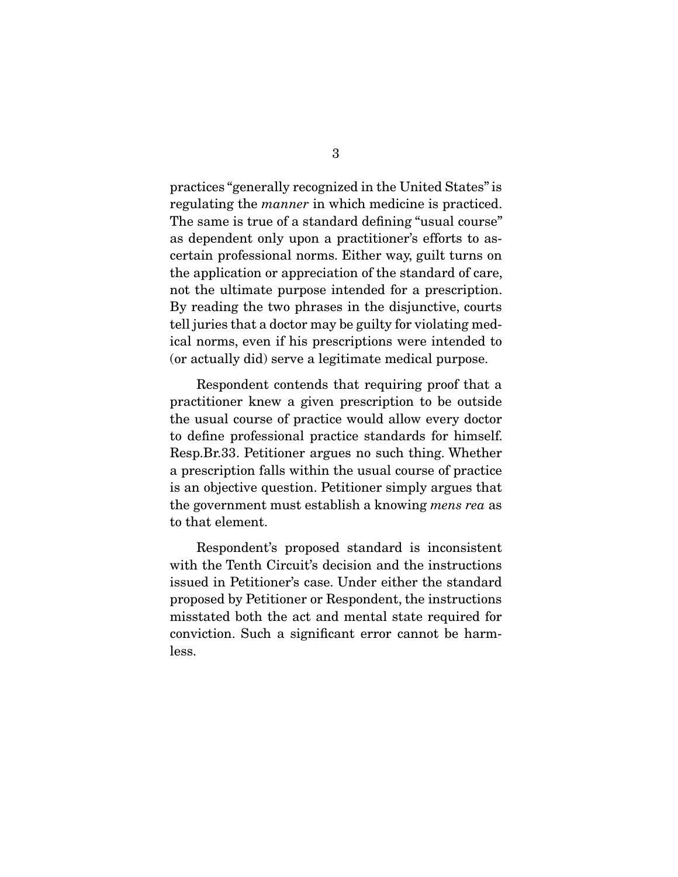practices "generally recognized in the United States" is regulating the manner in which medicine is practiced. The same is true of a standard defining "usual course" as dependent only upon a practitioner's efforts to ascertain professional norms. Either way, guilt turns on the application or appreciation of the standard of care, not the ultimate purpose intended for a prescription. By reading the two phrases in the disjunctive, courts tell juries that a doctor may be guilty for violating medical norms, even if his prescriptions were intended to (or actually did) serve a legitimate medical purpose.

 Respondent contends that requiring proof that a practitioner knew a given prescription to be outside the usual course of practice would allow every doctor to define professional practice standards for himself. Resp.Br.33. Petitioner argues no such thing. Whether a prescription falls within the usual course of practice is an objective question. Petitioner simply argues that the government must establish a knowing mens rea as to that element.

 Respondent's proposed standard is inconsistent with the Tenth Circuit's decision and the instructions issued in Petitioner's case. Under either the standard proposed by Petitioner or Respondent, the instructions misstated both the act and mental state required for conviction. Such a significant error cannot be harmless.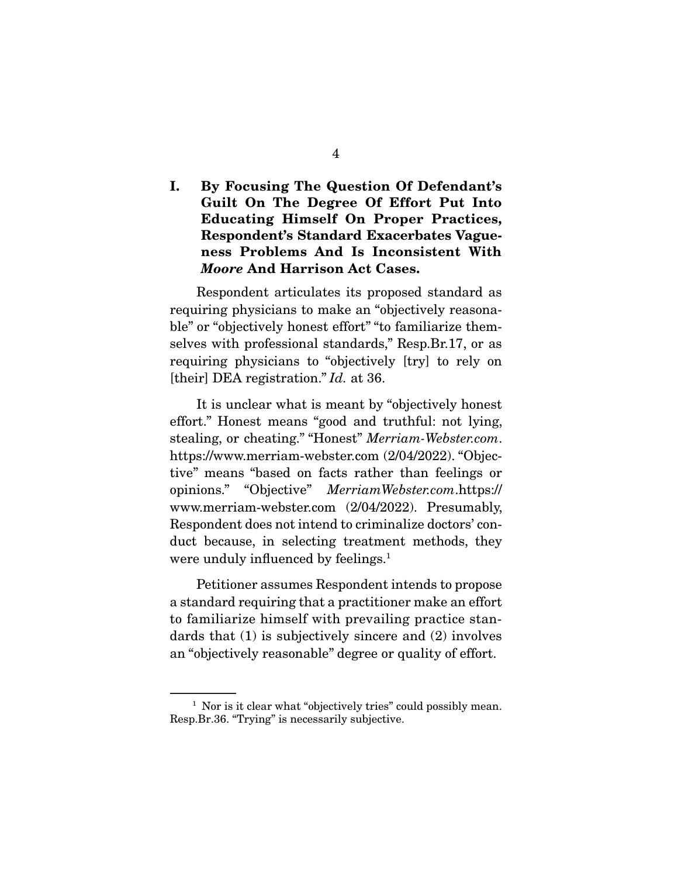### **I. By Focusing The Question Of Defendant's Guilt On The Degree Of Effort Put Into Educating Himself On Proper Practices, Respondent's Standard Exacerbates Vagueness Problems And Is Inconsistent With**  *Moore* **And Harrison Act Cases.**

 Respondent articulates its proposed standard as requiring physicians to make an "objectively reasonable" or "objectively honest effort" "to familiarize themselves with professional standards," Resp.Br.17, or as requiring physicians to "objectively [try] to rely on [their] DEA registration." *Id.* at 36.

 It is unclear what is meant by "objectively honest effort." Honest means "good and truthful: not lying, stealing, or cheating." "Honest" Merriam-Webster.com. https://www.merriam-webster.com (2/04/2022). "Objective" means "based on facts rather than feelings or opinions." "Objective" MerriamWebster.com.https:// www.merriam-webster.com (2/04/2022). Presumably, Respondent does not intend to criminalize doctors' conduct because, in selecting treatment methods, they were unduly influenced by feelings.<sup>1</sup>

 Petitioner assumes Respondent intends to propose a standard requiring that a practitioner make an effort to familiarize himself with prevailing practice standards that (1) is subjectively sincere and (2) involves an "objectively reasonable" degree or quality of effort.

<sup>&</sup>lt;sup>1</sup> Nor is it clear what "objectively tries" could possibly mean. Resp.Br.36. "Trying" is necessarily subjective.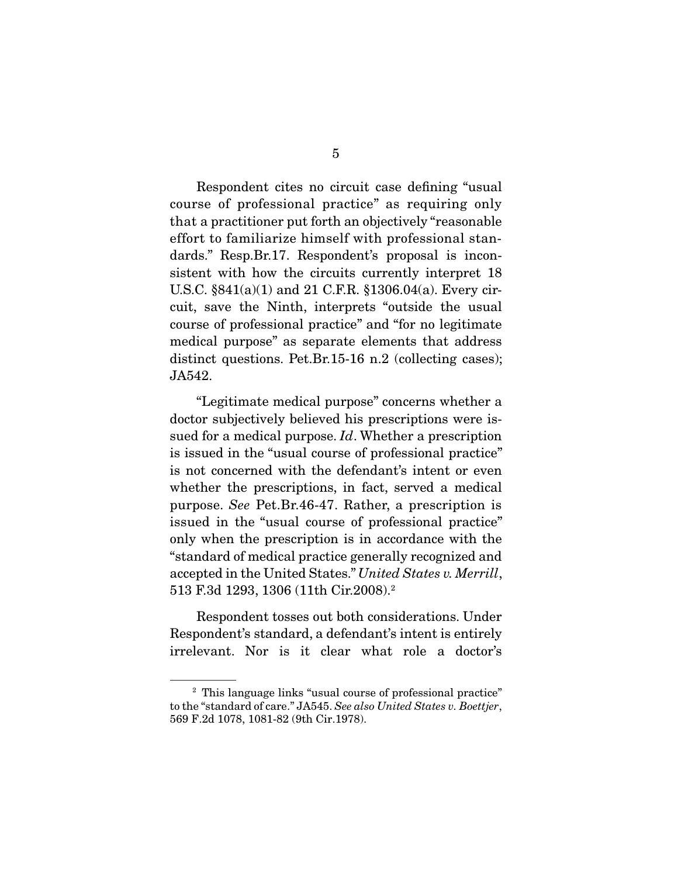Respondent cites no circuit case defining "usual course of professional practice" as requiring only that a practitioner put forth an objectively "reasonable effort to familiarize himself with professional standards." Resp.Br.17. Respondent's proposal is inconsistent with how the circuits currently interpret 18 U.S.C. §841(a)(1) and 21 C.F.R. §1306.04(a). Every circuit, save the Ninth, interprets "outside the usual course of professional practice" and "for no legitimate medical purpose" as separate elements that address distinct questions. Pet.Br.15-16 n.2 (collecting cases); JA542.

 "Legitimate medical purpose" concerns whether a doctor subjectively believed his prescriptions were issued for a medical purpose. *Id*. Whether a prescription is issued in the "usual course of professional practice" is not concerned with the defendant's intent or even whether the prescriptions, in fact, served a medical purpose. See Pet.Br.46-47. Rather, a prescription is issued in the "usual course of professional practice" only when the prescription is in accordance with the "standard of medical practice generally recognized and accepted in the United States." United States v. Merrill, 513 F.3d 1293, 1306 (11th Cir.2008).2

 Respondent tosses out both considerations. Under Respondent's standard, a defendant's intent is entirely irrelevant. Nor is it clear what role a doctor's

<sup>2</sup> This language links "usual course of professional practice" to the "standard of care." JA545. See also United States v. Boettjer, 569 F.2d 1078, 1081-82 (9th Cir.1978).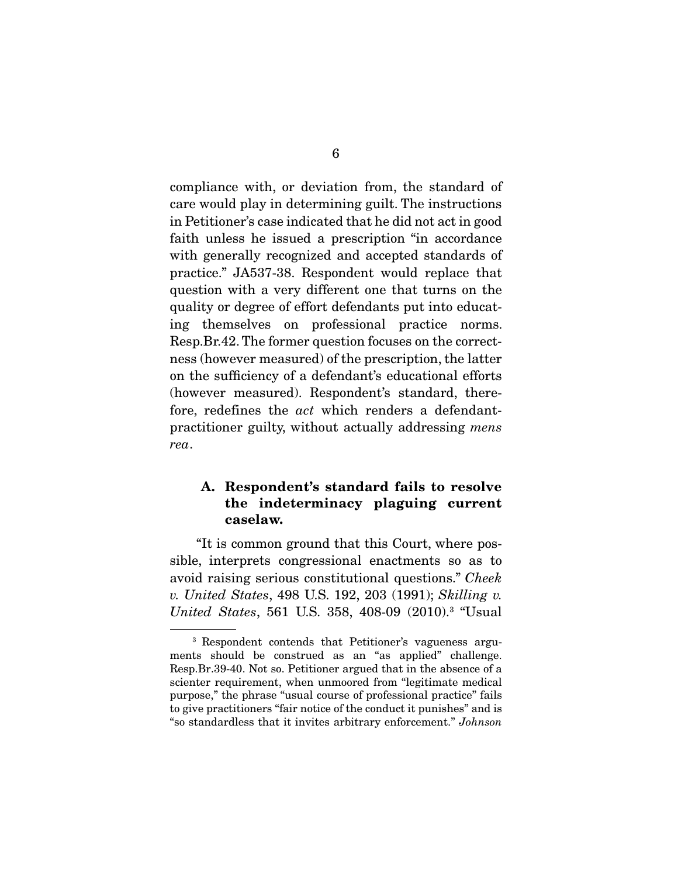compliance with, or deviation from, the standard of care would play in determining guilt. The instructions in Petitioner's case indicated that he did not act in good faith unless he issued a prescription "in accordance with generally recognized and accepted standards of practice." JA537-38. Respondent would replace that question with a very different one that turns on the quality or degree of effort defendants put into educating themselves on professional practice norms. Resp.Br.42. The former question focuses on the correctness (however measured) of the prescription, the latter on the sufficiency of a defendant's educational efforts (however measured). Respondent's standard, therefore, redefines the *act* which renders a defendantpractitioner guilty, without actually addressing mens rea.

### **A. Respondent's standard fails to resolve the indeterminacy plaguing current caselaw.**

 "It is common ground that this Court, where possible, interprets congressional enactments so as to avoid raising serious constitutional questions." Cheek v. United States, 498 U.S. 192, 203 (1991); Skilling v. United States, 561 U.S. 358, 408-09 (2010).<sup>3</sup> "Usual

<sup>3</sup> Respondent contends that Petitioner's vagueness arguments should be construed as an "as applied" challenge. Resp.Br.39-40. Not so. Petitioner argued that in the absence of a scienter requirement, when unmoored from "legitimate medical purpose," the phrase "usual course of professional practice" fails to give practitioners "fair notice of the conduct it punishes" and is "so standardless that it invites arbitrary enforcement." Johnson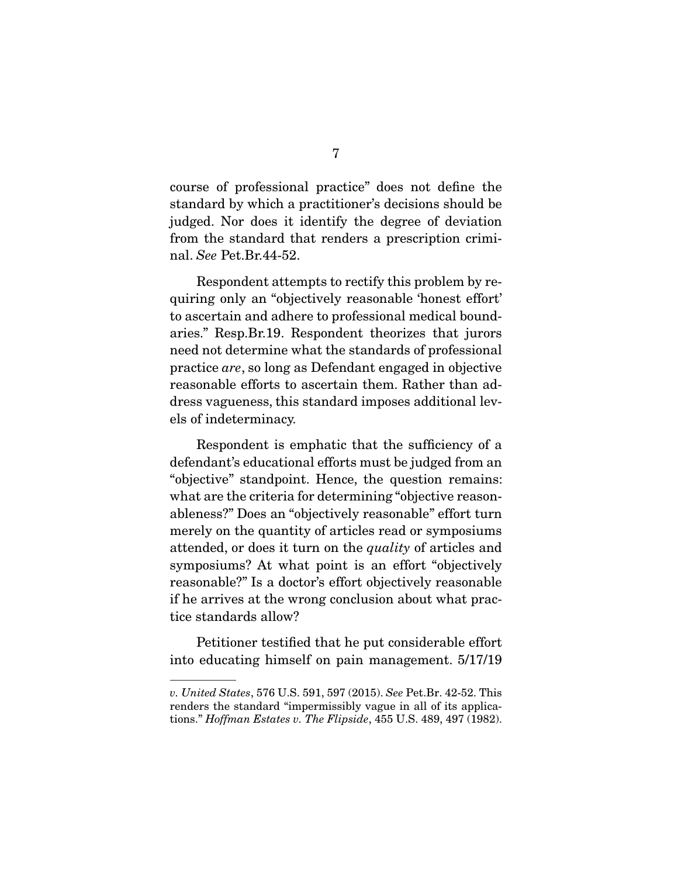course of professional practice" does not define the standard by which a practitioner's decisions should be judged. Nor does it identify the degree of deviation from the standard that renders a prescription criminal. See Pet.Br.44-52.

 Respondent attempts to rectify this problem by requiring only an "objectively reasonable 'honest effort' to ascertain and adhere to professional medical boundaries." Resp.Br.19. Respondent theorizes that jurors need not determine what the standards of professional practice are, so long as Defendant engaged in objective reasonable efforts to ascertain them. Rather than address vagueness, this standard imposes additional levels of indeterminacy.

 Respondent is emphatic that the sufficiency of a defendant's educational efforts must be judged from an "objective" standpoint. Hence, the question remains: what are the criteria for determining "objective reasonableness?" Does an "objectively reasonable" effort turn merely on the quantity of articles read or symposiums attended, or does it turn on the quality of articles and symposiums? At what point is an effort "objectively reasonable?" Is a doctor's effort objectively reasonable if he arrives at the wrong conclusion about what practice standards allow?

 Petitioner testified that he put considerable effort into educating himself on pain management. 5/17/19

v. United States, 576 U.S. 591, 597 (2015). See Pet.Br. 42-52. This renders the standard "impermissibly vague in all of its applications." Hoffman Estates v. The Flipside, 455 U.S. 489, 497 (1982).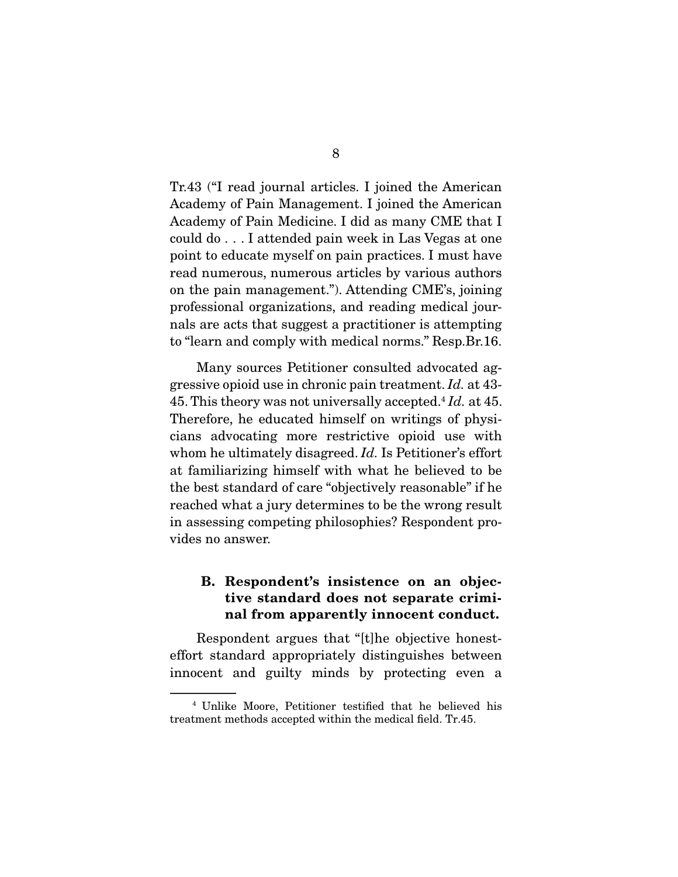Tr.43 ("I read journal articles. I joined the American Academy of Pain Management. I joined the American Academy of Pain Medicine. I did as many CME that I could do . . . I attended pain week in Las Vegas at one point to educate myself on pain practices. I must have read numerous, numerous articles by various authors on the pain management."). Attending CME's, joining professional organizations, and reading medical journals are acts that suggest a practitioner is attempting to "learn and comply with medical norms." Resp.Br.16.

 Many sources Petitioner consulted advocated aggressive opioid use in chronic pain treatment. Id. at 43- 45. This theory was not universally accepted.<sup>4</sup>  $Id$ . at 45. Therefore, he educated himself on writings of physicians advocating more restrictive opioid use with whom he ultimately disagreed. *Id*. Is Petitioner's effort at familiarizing himself with what he believed to be the best standard of care "objectively reasonable" if he reached what a jury determines to be the wrong result in assessing competing philosophies? Respondent provides no answer.

#### **B. Respondent's insistence on an objective standard does not separate criminal from apparently innocent conduct.**

 Respondent argues that "[t]he objective honesteffort standard appropriately distinguishes between innocent and guilty minds by protecting even a

<sup>4</sup> Unlike Moore, Petitioner testified that he believed his treatment methods accepted within the medical field. Tr.45.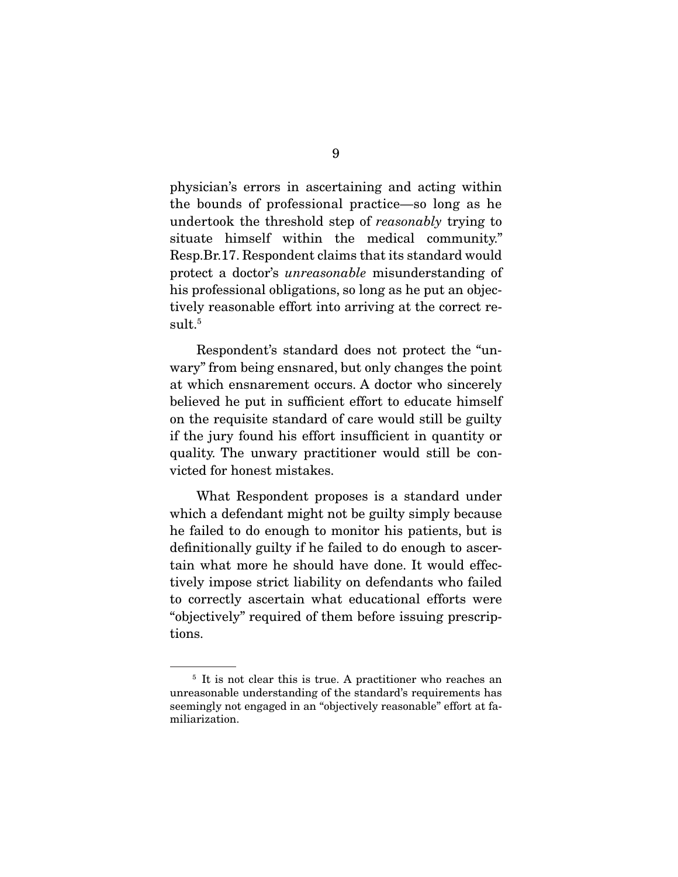physician's errors in ascertaining and acting within the bounds of professional practice—so long as he undertook the threshold step of reasonably trying to situate himself within the medical community." Resp.Br.17. Respondent claims that its standard would protect a doctor's unreasonable misunderstanding of his professional obligations, so long as he put an objectively reasonable effort into arriving at the correct result.<sup>5</sup>

 Respondent's standard does not protect the "unwary" from being ensnared, but only changes the point at which ensnarement occurs. A doctor who sincerely believed he put in sufficient effort to educate himself on the requisite standard of care would still be guilty if the jury found his effort insufficient in quantity or quality. The unwary practitioner would still be convicted for honest mistakes.

 What Respondent proposes is a standard under which a defendant might not be guilty simply because he failed to do enough to monitor his patients, but is definitionally guilty if he failed to do enough to ascertain what more he should have done. It would effectively impose strict liability on defendants who failed to correctly ascertain what educational efforts were "objectively" required of them before issuing prescriptions.

<sup>&</sup>lt;sup>5</sup> It is not clear this is true. A practitioner who reaches an unreasonable understanding of the standard's requirements has seemingly not engaged in an "objectively reasonable" effort at familiarization.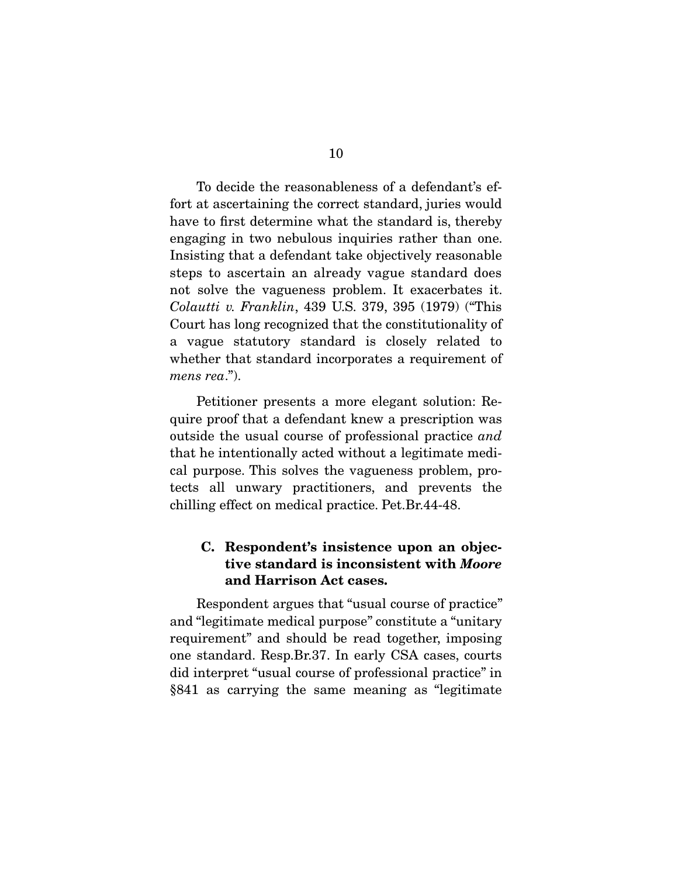To decide the reasonableness of a defendant's effort at ascertaining the correct standard, juries would have to first determine what the standard is, thereby engaging in two nebulous inquiries rather than one. Insisting that a defendant take objectively reasonable steps to ascertain an already vague standard does not solve the vagueness problem. It exacerbates it. Colautti v. Franklin, 439 U.S. 379, 395 (1979) ("This Court has long recognized that the constitutionality of a vague statutory standard is closely related to whether that standard incorporates a requirement of mens rea.").

 Petitioner presents a more elegant solution: Require proof that a defendant knew a prescription was outside the usual course of professional practice and that he intentionally acted without a legitimate medical purpose. This solves the vagueness problem, protects all unwary practitioners, and prevents the chilling effect on medical practice. Pet.Br.44-48.

#### **C. Respondent's insistence upon an objective standard is inconsistent with** *Moore* **and Harrison Act cases.**

 Respondent argues that "usual course of practice" and "legitimate medical purpose" constitute a "unitary requirement" and should be read together, imposing one standard. Resp.Br.37. In early CSA cases, courts did interpret "usual course of professional practice" in §841 as carrying the same meaning as "legitimate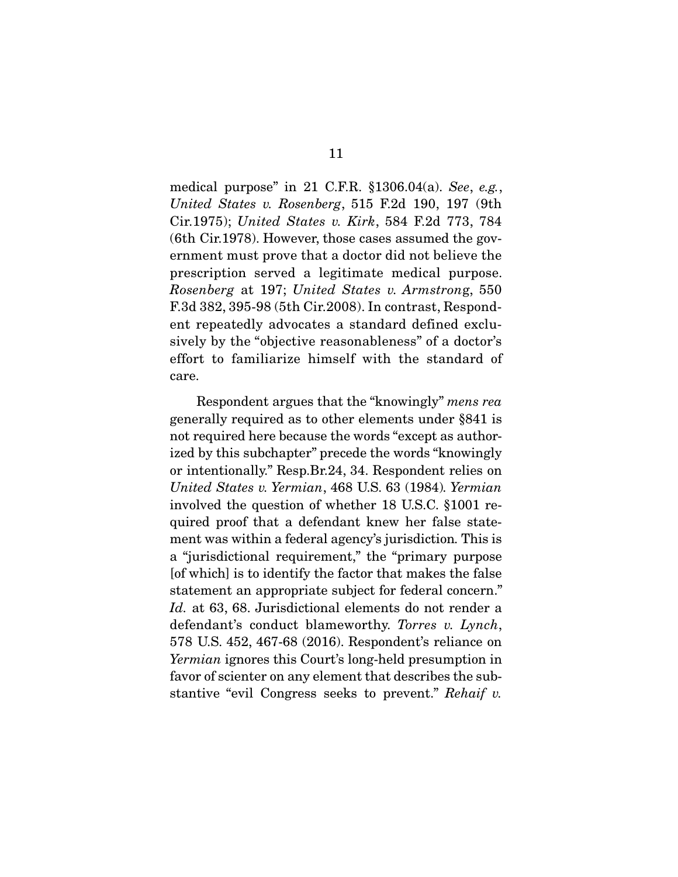medical purpose" in 21 C.F.R. §1306.04(a). See, e.g., United States v. Rosenberg, 515 F.2d 190, 197 (9th Cir.1975); United States v. Kirk, 584 F.2d 773, 784 (6th Cir.1978). However, those cases assumed the government must prove that a doctor did not believe the prescription served a legitimate medical purpose. Rosenberg at 197; United States v. Armstrong, 550 F.3d 382, 395-98 (5th Cir.2008). In contrast, Respondent repeatedly advocates a standard defined exclusively by the "objective reasonableness" of a doctor's effort to familiarize himself with the standard of care.

 Respondent argues that the "knowingly" mens rea generally required as to other elements under §841 is not required here because the words "except as authorized by this subchapter" precede the words "knowingly or intentionally." Resp.Br.24, 34. Respondent relies on United States v. Yermian, 468 U.S. 63 (1984). Yermian involved the question of whether 18 U.S.C. §1001 required proof that a defendant knew her false statement was within a federal agency's jurisdiction. This is a "jurisdictional requirement," the "primary purpose [of which] is to identify the factor that makes the false statement an appropriate subject for federal concern." Id. at 63, 68. Jurisdictional elements do not render a defendant's conduct blameworthy. Torres v. Lynch, 578 U.S. 452, 467-68 (2016). Respondent's reliance on Yermian ignores this Court's long-held presumption in favor of scienter on any element that describes the substantive "evil Congress seeks to prevent." Rehaif v.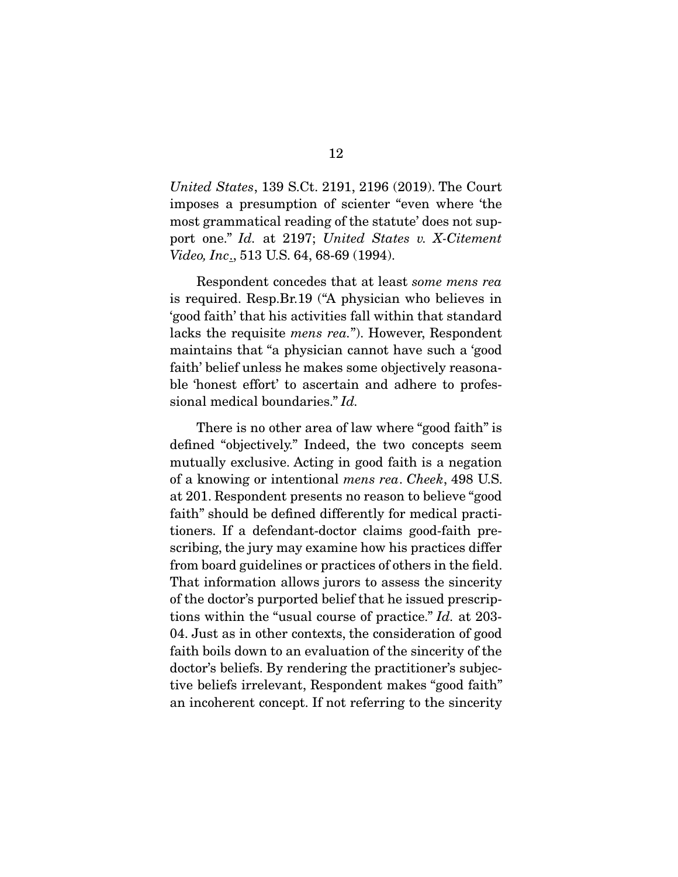United States, 139 S.Ct. 2191, 2196 (2019). The Court imposes a presumption of scienter "even where 'the most grammatical reading of the statute' does not support one." Id. at 2197; United States v. X-Citement Video, Inc., 513 U.S. 64, 68-69 (1994).

 Respondent concedes that at least some mens rea is required. Resp.Br.19 ("A physician who believes in 'good faith' that his activities fall within that standard lacks the requisite mens rea."). However, Respondent maintains that "a physician cannot have such a 'good faith' belief unless he makes some objectively reasonable 'honest effort' to ascertain and adhere to professional medical boundaries." Id.

 There is no other area of law where "good faith" is defined "objectively." Indeed, the two concepts seem mutually exclusive. Acting in good faith is a negation of a knowing or intentional mens rea. Cheek, 498 U.S. at 201. Respondent presents no reason to believe "good faith" should be defined differently for medical practitioners. If a defendant-doctor claims good-faith prescribing, the jury may examine how his practices differ from board guidelines or practices of others in the field. That information allows jurors to assess the sincerity of the doctor's purported belief that he issued prescriptions within the "usual course of practice." Id. at 203- 04. Just as in other contexts, the consideration of good faith boils down to an evaluation of the sincerity of the doctor's beliefs. By rendering the practitioner's subjective beliefs irrelevant, Respondent makes "good faith" an incoherent concept. If not referring to the sincerity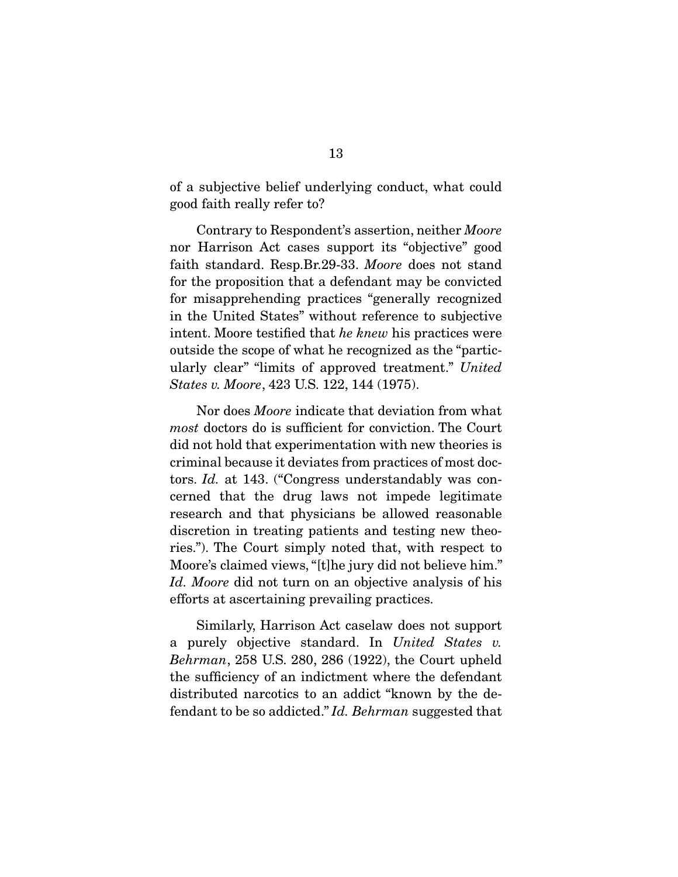of a subjective belief underlying conduct, what could good faith really refer to?

 Contrary to Respondent's assertion, neither Moore nor Harrison Act cases support its "objective" good faith standard. Resp.Br.29-33. Moore does not stand for the proposition that a defendant may be convicted for misapprehending practices "generally recognized in the United States" without reference to subjective intent. Moore testified that he knew his practices were outside the scope of what he recognized as the "particularly clear" "limits of approved treatment." United States v. Moore, 423 U.S. 122, 144 (1975).

 Nor does Moore indicate that deviation from what most doctors do is sufficient for conviction. The Court did not hold that experimentation with new theories is criminal because it deviates from practices of most doctors. Id. at 143. ("Congress understandably was concerned that the drug laws not impede legitimate research and that physicians be allowed reasonable discretion in treating patients and testing new theories."). The Court simply noted that, with respect to Moore's claimed views, "[t]he jury did not believe him." Id. Moore did not turn on an objective analysis of his efforts at ascertaining prevailing practices.

 Similarly, Harrison Act caselaw does not support a purely objective standard. In United States v. Behrman, 258 U.S. 280, 286 (1922), the Court upheld the sufficiency of an indictment where the defendant distributed narcotics to an addict "known by the defendant to be so addicted." Id. Behrman suggested that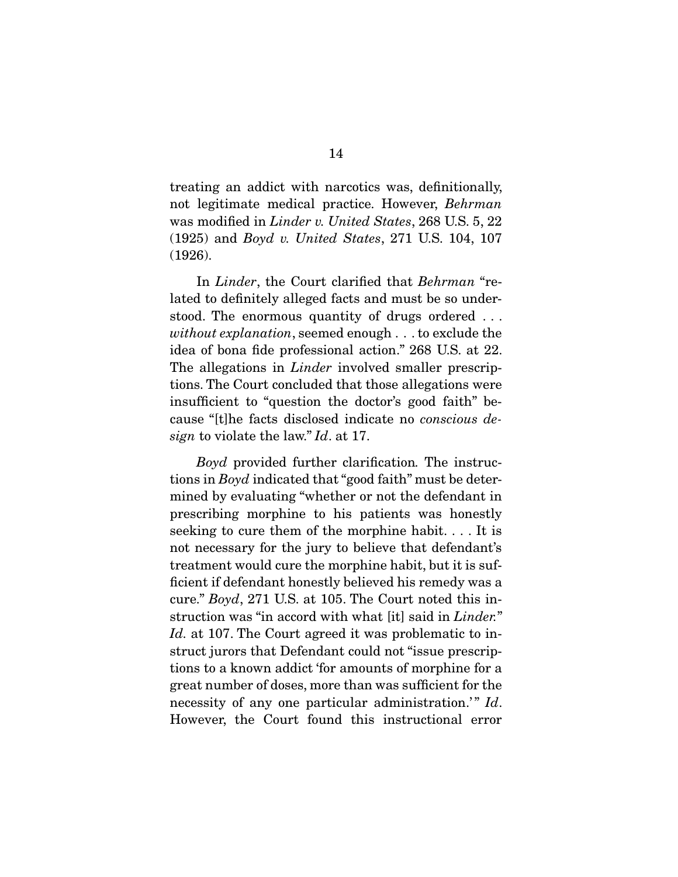treating an addict with narcotics was, definitionally, not legitimate medical practice. However, Behrman was modified in Linder v. United States, 268 U.S. 5, 22 (1925) and Boyd v. United States, 271 U.S. 104, 107 (1926).

In *Linder*, the Court clarified that *Behrman* "related to definitely alleged facts and must be so understood. The enormous quantity of drugs ordered . . . without explanation, seemed enough . . . to exclude the idea of bona fide professional action." 268 U.S. at 22. The allegations in *Linder* involved smaller prescriptions. The Court concluded that those allegations were insufficient to "question the doctor's good faith" because "[t]he facts disclosed indicate no conscious design to violate the law." Id. at 17.

Boyd provided further clarification. The instructions in Boyd indicated that "good faith" must be determined by evaluating "whether or not the defendant in prescribing morphine to his patients was honestly seeking to cure them of the morphine habit. . . . It is not necessary for the jury to believe that defendant's treatment would cure the morphine habit, but it is sufficient if defendant honestly believed his remedy was a cure." Boyd, 271 U.S. at 105. The Court noted this instruction was "in accord with what [it] said in *Linder.*" Id. at 107. The Court agreed it was problematic to instruct jurors that Defendant could not "issue prescriptions to a known addict 'for amounts of morphine for a great number of doses, more than was sufficient for the necessity of any one particular administration.'"  $Id$ . However, the Court found this instructional error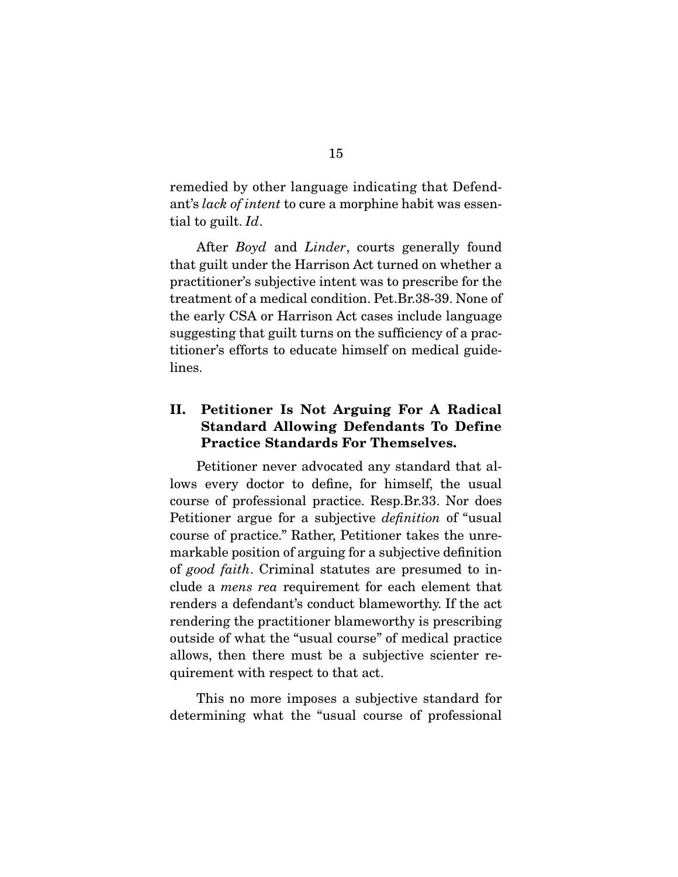remedied by other language indicating that Defendant's lack of intent to cure a morphine habit was essential to guilt. Id.

After *Boyd* and *Linder*, courts generally found that guilt under the Harrison Act turned on whether a practitioner's subjective intent was to prescribe for the treatment of a medical condition. Pet.Br.38-39. None of the early CSA or Harrison Act cases include language suggesting that guilt turns on the sufficiency of a practitioner's efforts to educate himself on medical guidelines.

#### **II. Petitioner Is Not Arguing For A Radical Standard Allowing Defendants To Define Practice Standards For Themselves.**

 Petitioner never advocated any standard that allows every doctor to define, for himself, the usual course of professional practice. Resp.Br.33. Nor does Petitioner argue for a subjective definition of "usual course of practice." Rather, Petitioner takes the unremarkable position of arguing for a subjective definition of good faith. Criminal statutes are presumed to include a mens rea requirement for each element that renders a defendant's conduct blameworthy. If the act rendering the practitioner blameworthy is prescribing outside of what the "usual course" of medical practice allows, then there must be a subjective scienter requirement with respect to that act.

 This no more imposes a subjective standard for determining what the "usual course of professional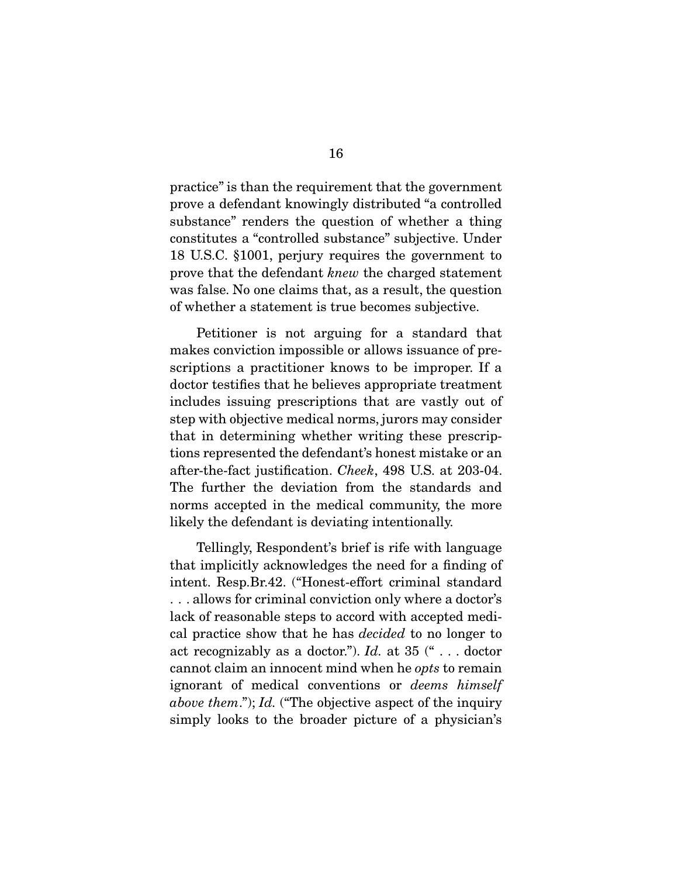practice" is than the requirement that the government prove a defendant knowingly distributed "a controlled substance" renders the question of whether a thing constitutes a "controlled substance" subjective. Under 18 U.S.C. §1001, perjury requires the government to prove that the defendant knew the charged statement was false. No one claims that, as a result, the question of whether a statement is true becomes subjective.

 Petitioner is not arguing for a standard that makes conviction impossible or allows issuance of prescriptions a practitioner knows to be improper. If a doctor testifies that he believes appropriate treatment includes issuing prescriptions that are vastly out of step with objective medical norms, jurors may consider that in determining whether writing these prescriptions represented the defendant's honest mistake or an after-the-fact justification. Cheek, 498 U.S. at 203-04. The further the deviation from the standards and norms accepted in the medical community, the more likely the defendant is deviating intentionally.

 Tellingly, Respondent's brief is rife with language that implicitly acknowledges the need for a finding of intent. Resp.Br.42. ("Honest-effort criminal standard . . . allows for criminal conviction only where a doctor's lack of reasonable steps to accord with accepted medical practice show that he has decided to no longer to act recognizably as a doctor.").  $Id.$  at 35  $($ " . . . doctor cannot claim an innocent mind when he opts to remain ignorant of medical conventions or deems himself above them."); Id. ("The objective aspect of the inquiry simply looks to the broader picture of a physician's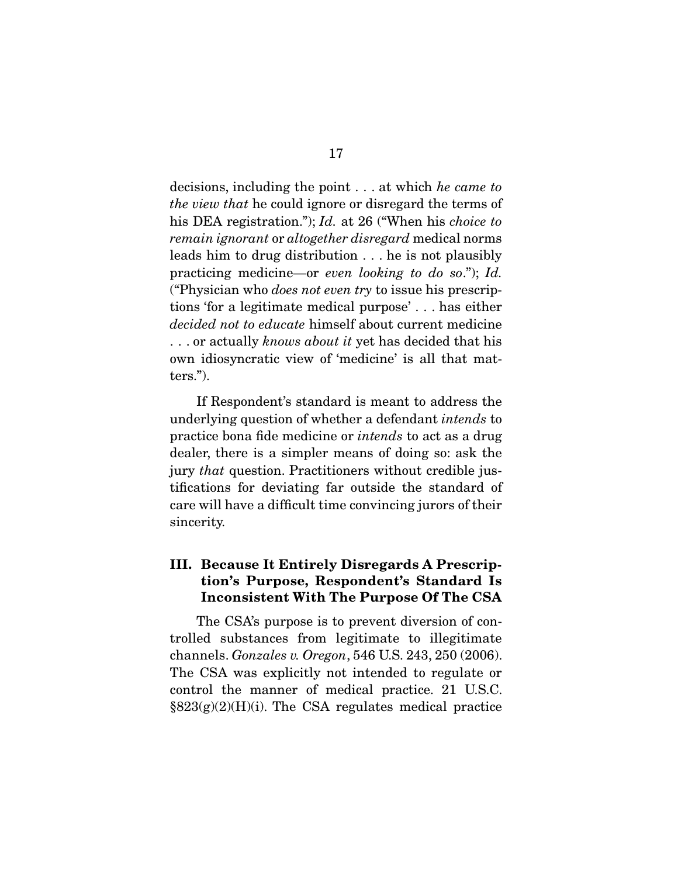decisions, including the point . . . at which he came to the view that he could ignore or disregard the terms of his DEA registration."); Id. at 26 ("When his *choice to* remain ignorant or altogether disregard medical norms leads him to drug distribution . . . he is not plausibly practicing medicine—or even looking to do so."); Id. ("Physician who does not even try to issue his prescriptions 'for a legitimate medical purpose' . . . has either decided not to educate himself about current medicine ... or actually knows about it yet has decided that his own idiosyncratic view of 'medicine' is all that matters.").

 If Respondent's standard is meant to address the underlying question of whether a defendant intends to practice bona fide medicine or intends to act as a drug dealer, there is a simpler means of doing so: ask the jury that question. Practitioners without credible justifications for deviating far outside the standard of care will have a difficult time convincing jurors of their sincerity.

#### **III. Because It Entirely Disregards A Prescription's Purpose, Respondent's Standard Is Inconsistent With The Purpose Of The CSA**

 The CSA's purpose is to prevent diversion of controlled substances from legitimate to illegitimate channels. Gonzales v. Oregon, 546 U.S. 243, 250 (2006). The CSA was explicitly not intended to regulate or control the manner of medical practice. 21 U.S.C.  $\S 823(g)(2)(H)(i)$ . The CSA regulates medical practice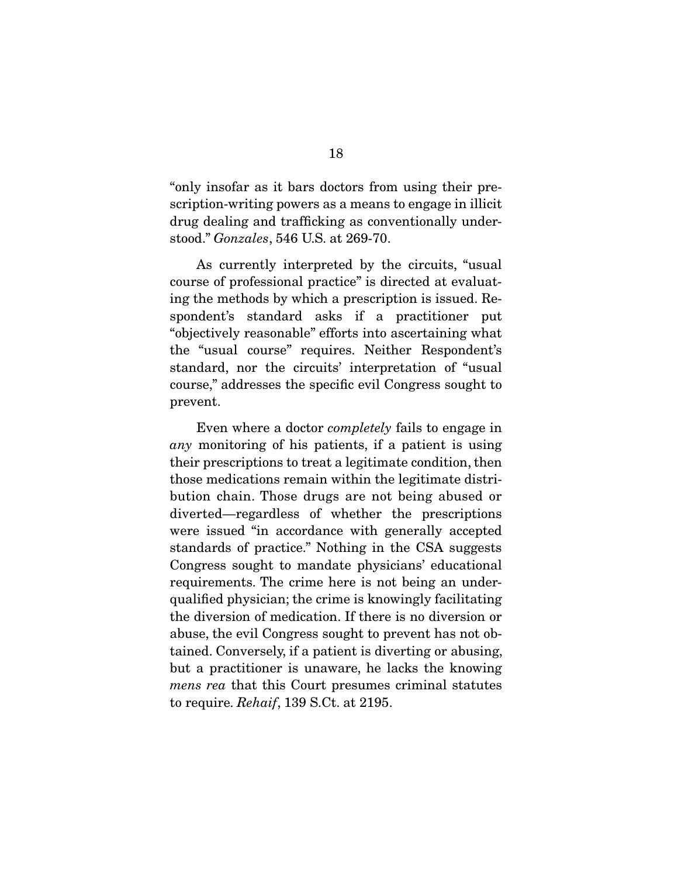"only insofar as it bars doctors from using their prescription-writing powers as a means to engage in illicit drug dealing and trafficking as conventionally understood." Gonzales, 546 U.S. at 269-70.

 As currently interpreted by the circuits, "usual course of professional practice" is directed at evaluating the methods by which a prescription is issued. Respondent's standard asks if a practitioner put "objectively reasonable" efforts into ascertaining what the "usual course" requires. Neither Respondent's standard, nor the circuits' interpretation of "usual course," addresses the specific evil Congress sought to prevent.

 Even where a doctor completely fails to engage in any monitoring of his patients, if a patient is using their prescriptions to treat a legitimate condition, then those medications remain within the legitimate distribution chain. Those drugs are not being abused or diverted—regardless of whether the prescriptions were issued "in accordance with generally accepted standards of practice." Nothing in the CSA suggests Congress sought to mandate physicians' educational requirements. The crime here is not being an underqualified physician; the crime is knowingly facilitating the diversion of medication. If there is no diversion or abuse, the evil Congress sought to prevent has not obtained. Conversely, if a patient is diverting or abusing, but a practitioner is unaware, he lacks the knowing mens rea that this Court presumes criminal statutes to require. Rehaif, 139 S.Ct. at 2195.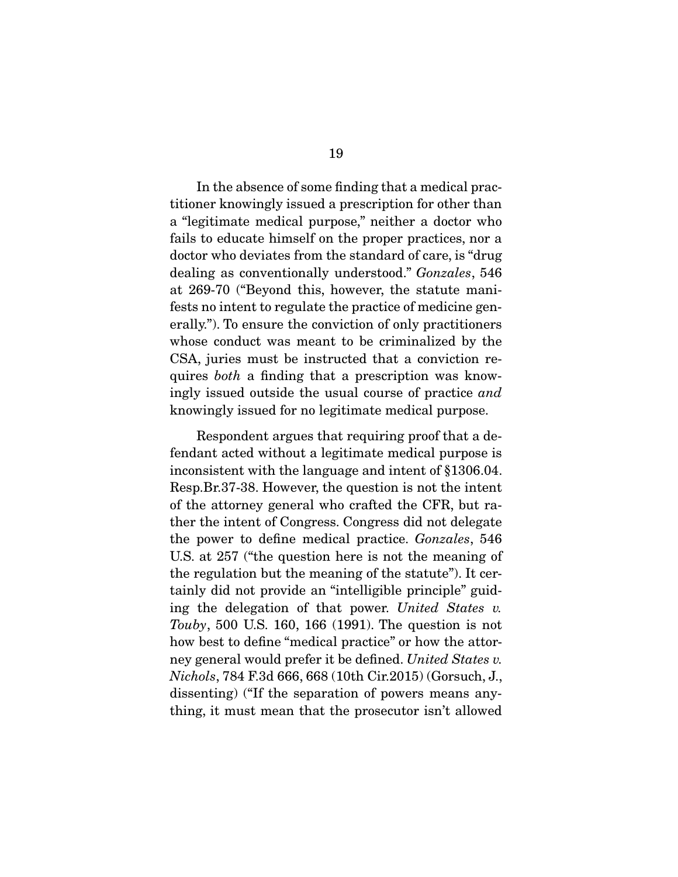In the absence of some finding that a medical practitioner knowingly issued a prescription for other than a "legitimate medical purpose," neither a doctor who fails to educate himself on the proper practices, nor a doctor who deviates from the standard of care, is "drug dealing as conventionally understood." Gonzales, 546 at 269-70 ("Beyond this, however, the statute manifests no intent to regulate the practice of medicine generally."). To ensure the conviction of only practitioners whose conduct was meant to be criminalized by the CSA, juries must be instructed that a conviction requires both a finding that a prescription was knowingly issued outside the usual course of practice and knowingly issued for no legitimate medical purpose.

 Respondent argues that requiring proof that a defendant acted without a legitimate medical purpose is inconsistent with the language and intent of §1306.04. Resp.Br.37-38. However, the question is not the intent of the attorney general who crafted the CFR, but rather the intent of Congress. Congress did not delegate the power to define medical practice. Gonzales, 546 U.S. at 257 ("the question here is not the meaning of the regulation but the meaning of the statute"). It certainly did not provide an "intelligible principle" guiding the delegation of that power. United States v. Touby, 500 U.S. 160, 166 (1991). The question is not how best to define "medical practice" or how the attorney general would prefer it be defined. United States v. Nichols, 784 F.3d 666, 668 (10th Cir.2015) (Gorsuch, J., dissenting) ("If the separation of powers means anything, it must mean that the prosecutor isn't allowed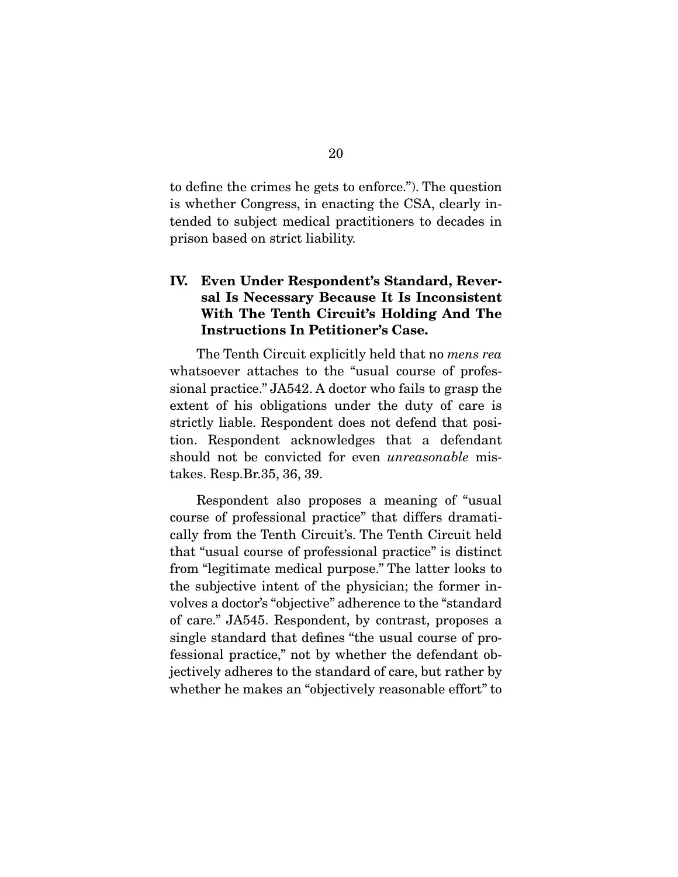to define the crimes he gets to enforce."). The question is whether Congress, in enacting the CSA, clearly intended to subject medical practitioners to decades in prison based on strict liability.

#### **IV. Even Under Respondent's Standard, Reversal Is Necessary Because It Is Inconsistent With The Tenth Circuit's Holding And The Instructions In Petitioner's Case.**

 The Tenth Circuit explicitly held that no mens rea whatsoever attaches to the "usual course of professional practice." JA542. A doctor who fails to grasp the extent of his obligations under the duty of care is strictly liable. Respondent does not defend that position. Respondent acknowledges that a defendant should not be convicted for even *unreasonable* mistakes. Resp.Br.35, 36, 39.

 Respondent also proposes a meaning of "usual course of professional practice" that differs dramatically from the Tenth Circuit's. The Tenth Circuit held that "usual course of professional practice" is distinct from "legitimate medical purpose." The latter looks to the subjective intent of the physician; the former involves a doctor's "objective" adherence to the "standard of care." JA545. Respondent, by contrast, proposes a single standard that defines "the usual course of professional practice," not by whether the defendant objectively adheres to the standard of care, but rather by whether he makes an "objectively reasonable effort" to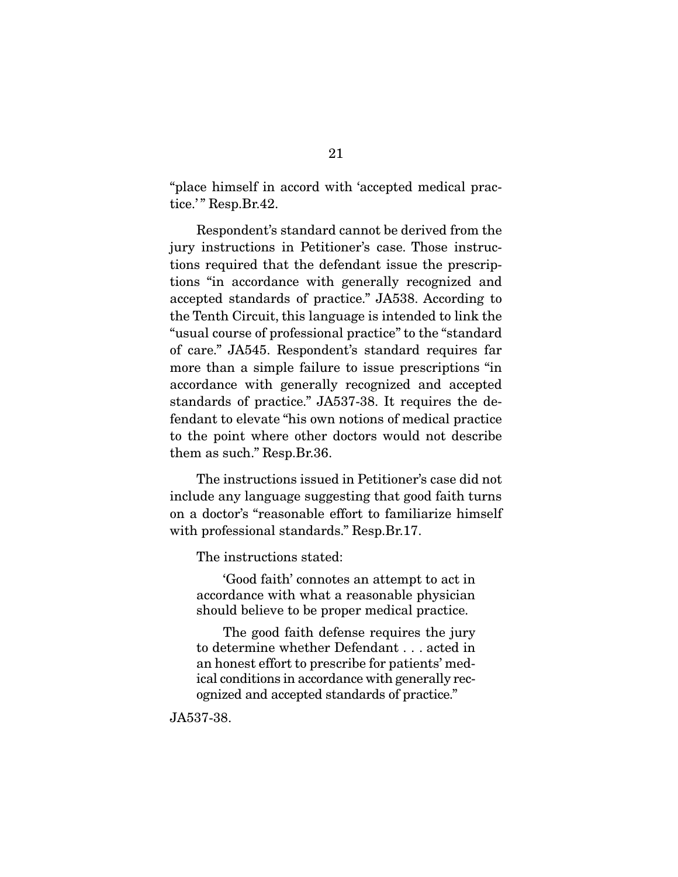"place himself in accord with 'accepted medical practice.'" Resp.Br.42.

 Respondent's standard cannot be derived from the jury instructions in Petitioner's case. Those instructions required that the defendant issue the prescriptions "in accordance with generally recognized and accepted standards of practice." JA538. According to the Tenth Circuit, this language is intended to link the "usual course of professional practice" to the "standard of care." JA545. Respondent's standard requires far more than a simple failure to issue prescriptions "in accordance with generally recognized and accepted standards of practice." JA537-38. It requires the defendant to elevate "his own notions of medical practice to the point where other doctors would not describe them as such." Resp.Br.36.

 The instructions issued in Petitioner's case did not include any language suggesting that good faith turns on a doctor's "reasonable effort to familiarize himself with professional standards." Resp.Br.17.

The instructions stated:

 'Good faith' connotes an attempt to act in accordance with what a reasonable physician should believe to be proper medical practice.

 The good faith defense requires the jury to determine whether Defendant . . . acted in an honest effort to prescribe for patients' medical conditions in accordance with generally recognized and accepted standards of practice."

JA537-38.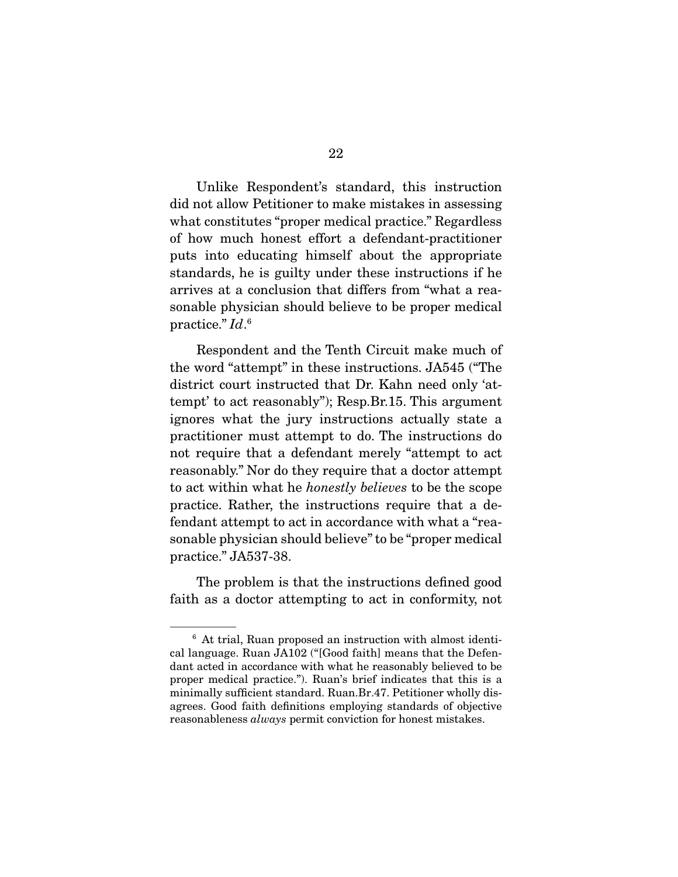Unlike Respondent's standard, this instruction did not allow Petitioner to make mistakes in assessing what constitutes "proper medical practice." Regardless of how much honest effort a defendant-practitioner puts into educating himself about the appropriate standards, he is guilty under these instructions if he arrives at a conclusion that differs from "what a reasonable physician should believe to be proper medical practice."  $Id$ .<sup>6</sup>

 Respondent and the Tenth Circuit make much of the word "attempt" in these instructions. JA545 ("The district court instructed that Dr. Kahn need only 'attempt' to act reasonably"); Resp.Br.15. This argument ignores what the jury instructions actually state a practitioner must attempt to do. The instructions do not require that a defendant merely "attempt to act reasonably." Nor do they require that a doctor attempt to act within what he honestly believes to be the scope practice. Rather, the instructions require that a defendant attempt to act in accordance with what a "reasonable physician should believe" to be "proper medical practice." JA537-38.

 The problem is that the instructions defined good faith as a doctor attempting to act in conformity, not

<sup>6</sup> At trial, Ruan proposed an instruction with almost identical language. Ruan JA102 ("[Good faith] means that the Defendant acted in accordance with what he reasonably believed to be proper medical practice."). Ruan's brief indicates that this is a minimally sufficient standard. Ruan.Br.47. Petitioner wholly disagrees. Good faith definitions employing standards of objective reasonableness always permit conviction for honest mistakes.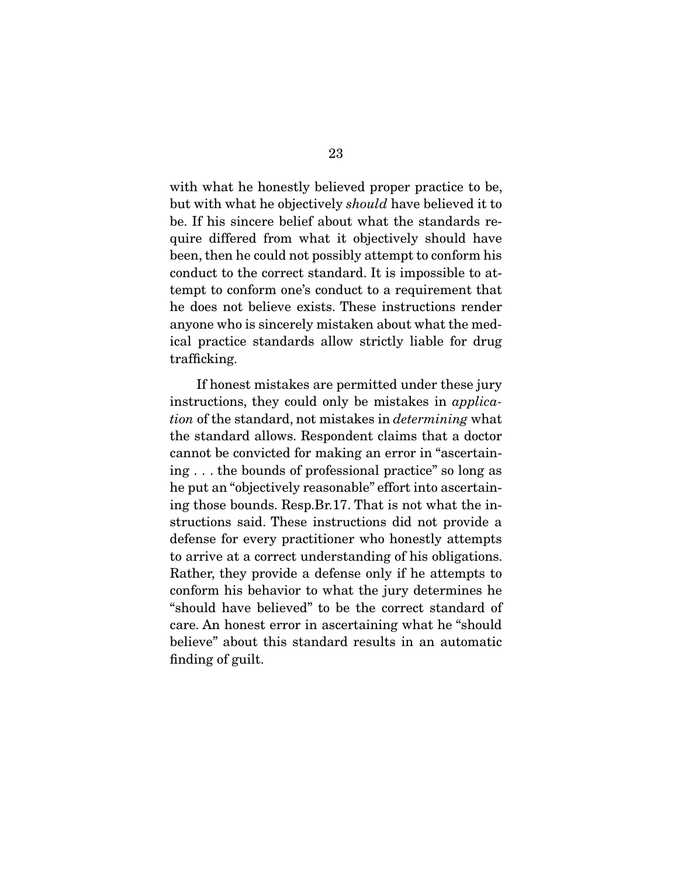with what he honestly believed proper practice to be, but with what he objectively should have believed it to be. If his sincere belief about what the standards require differed from what it objectively should have been, then he could not possibly attempt to conform his conduct to the correct standard. It is impossible to attempt to conform one's conduct to a requirement that he does not believe exists. These instructions render anyone who is sincerely mistaken about what the medical practice standards allow strictly liable for drug trafficking.

 If honest mistakes are permitted under these jury instructions, they could only be mistakes in *applica*tion of the standard, not mistakes in determining what the standard allows. Respondent claims that a doctor cannot be convicted for making an error in "ascertaining . . . the bounds of professional practice" so long as he put an "objectively reasonable" effort into ascertaining those bounds. Resp.Br.17. That is not what the instructions said. These instructions did not provide a defense for every practitioner who honestly attempts to arrive at a correct understanding of his obligations. Rather, they provide a defense only if he attempts to conform his behavior to what the jury determines he "should have believed" to be the correct standard of care. An honest error in ascertaining what he "should believe" about this standard results in an automatic finding of guilt.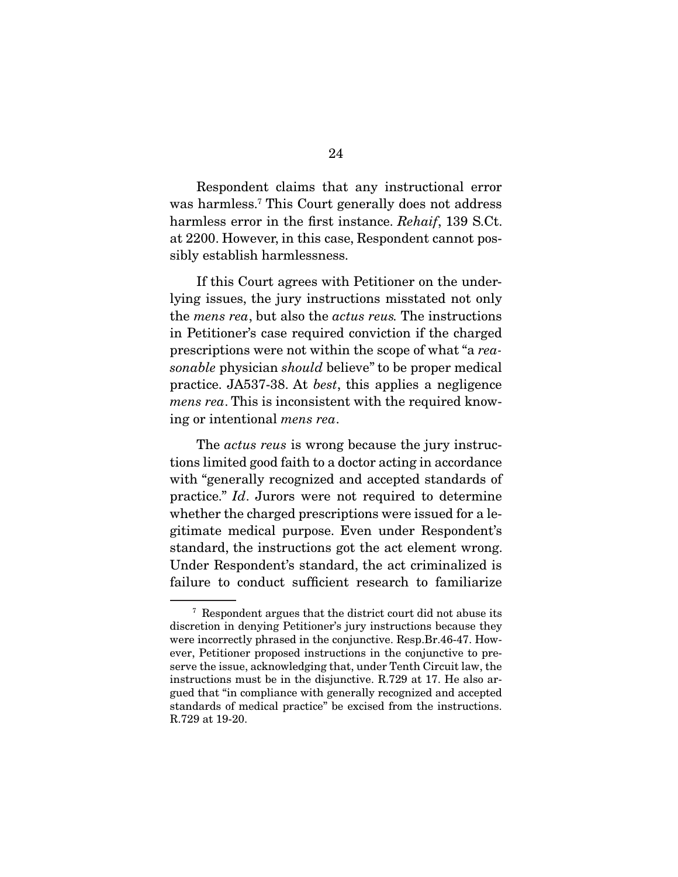Respondent claims that any instructional error was harmless.7 This Court generally does not address harmless error in the first instance. Rehaif, 139 S.Ct. at 2200. However, in this case, Respondent cannot possibly establish harmlessness.

 If this Court agrees with Petitioner on the underlying issues, the jury instructions misstated not only the mens rea, but also the actus reus. The instructions in Petitioner's case required conviction if the charged prescriptions were not within the scope of what "a reasonable physician should believe" to be proper medical practice. JA537-38. At best, this applies a negligence mens rea. This is inconsistent with the required knowing or intentional mens rea.

The *actus reus* is wrong because the jury instructions limited good faith to a doctor acting in accordance with "generally recognized and accepted standards of practice." Id. Jurors were not required to determine whether the charged prescriptions were issued for a legitimate medical purpose. Even under Respondent's standard, the instructions got the act element wrong. Under Respondent's standard, the act criminalized is failure to conduct sufficient research to familiarize

<sup>7</sup> Respondent argues that the district court did not abuse its discretion in denying Petitioner's jury instructions because they were incorrectly phrased in the conjunctive. Resp.Br.46-47. However, Petitioner proposed instructions in the conjunctive to preserve the issue, acknowledging that, under Tenth Circuit law, the instructions must be in the disjunctive. R.729 at 17. He also argued that "in compliance with generally recognized and accepted standards of medical practice" be excised from the instructions. R.729 at 19-20.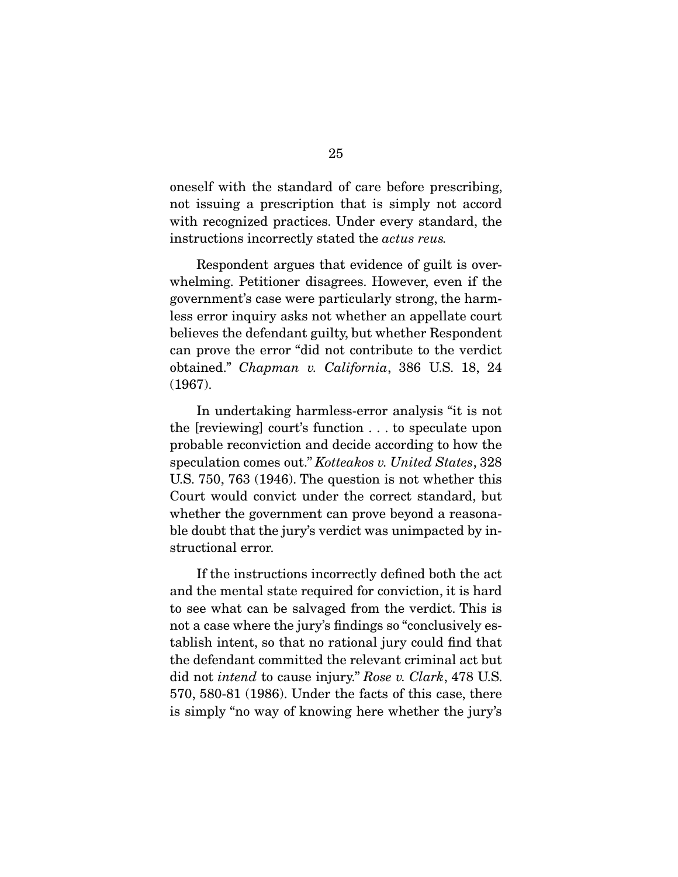oneself with the standard of care before prescribing, not issuing a prescription that is simply not accord with recognized practices. Under every standard, the instructions incorrectly stated the actus reus.

 Respondent argues that evidence of guilt is overwhelming. Petitioner disagrees. However, even if the government's case were particularly strong, the harmless error inquiry asks not whether an appellate court believes the defendant guilty, but whether Respondent can prove the error "did not contribute to the verdict obtained." Chapman v. California, 386 U.S. 18, 24 (1967).

 In undertaking harmless-error analysis "it is not the [reviewing] court's function . . . to speculate upon probable reconviction and decide according to how the speculation comes out." Kotteakos v. United States, 328 U.S. 750, 763 (1946). The question is not whether this Court would convict under the correct standard, but whether the government can prove beyond a reasonable doubt that the jury's verdict was unimpacted by instructional error.

 If the instructions incorrectly defined both the act and the mental state required for conviction, it is hard to see what can be salvaged from the verdict. This is not a case where the jury's findings so "conclusively establish intent, so that no rational jury could find that the defendant committed the relevant criminal act but did not *intend* to cause injury." Rose v. Clark, 478 U.S. 570, 580-81 (1986). Under the facts of this case, there is simply "no way of knowing here whether the jury's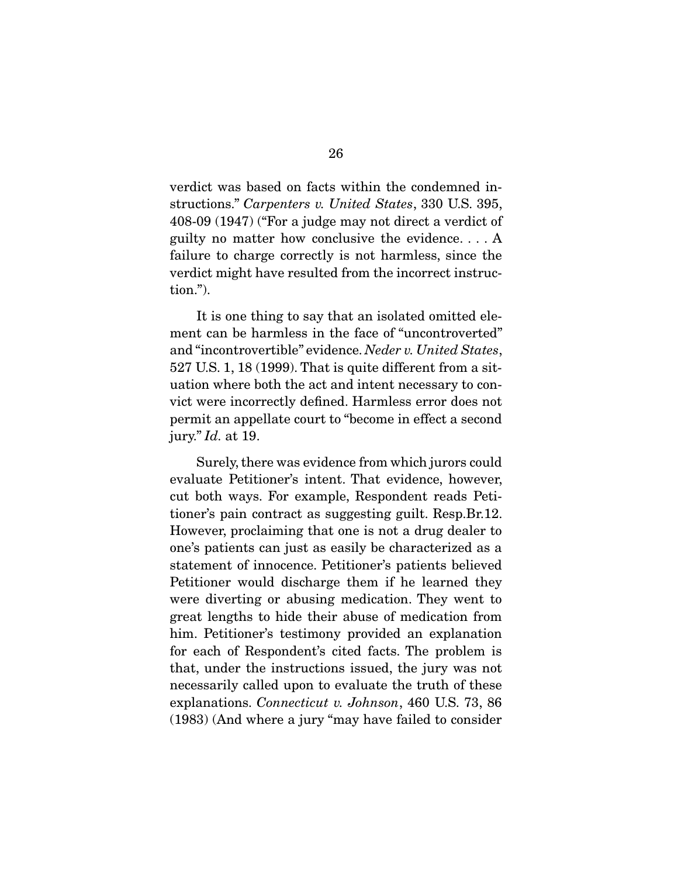verdict was based on facts within the condemned instructions." Carpenters v. United States, 330 U.S. 395, 408-09 (1947) ("For a judge may not direct a verdict of guilty no matter how conclusive the evidence. . . . A failure to charge correctly is not harmless, since the verdict might have resulted from the incorrect instruction.").

 It is one thing to say that an isolated omitted element can be harmless in the face of "uncontroverted" and "incontrovertible" evidence. Neder v. United States, 527 U.S. 1, 18 (1999). That is quite different from a situation where both the act and intent necessary to convict were incorrectly defined. Harmless error does not permit an appellate court to "become in effect a second jury."  $Id.$  at 19.

 Surely, there was evidence from which jurors could evaluate Petitioner's intent. That evidence, however, cut both ways. For example, Respondent reads Petitioner's pain contract as suggesting guilt. Resp.Br.12. However, proclaiming that one is not a drug dealer to one's patients can just as easily be characterized as a statement of innocence. Petitioner's patients believed Petitioner would discharge them if he learned they were diverting or abusing medication. They went to great lengths to hide their abuse of medication from him. Petitioner's testimony provided an explanation for each of Respondent's cited facts. The problem is that, under the instructions issued, the jury was not necessarily called upon to evaluate the truth of these explanations. Connecticut v. Johnson, 460 U.S. 73, 86 (1983) (And where a jury "may have failed to consider